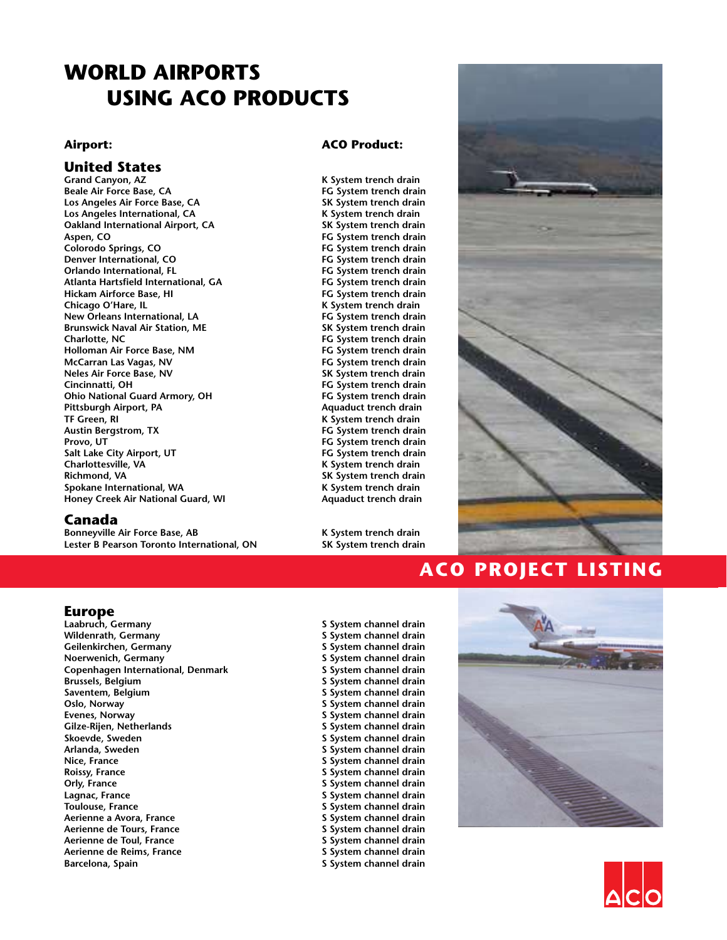# **WORLD AIRPORTS USING ACO PRODUCTS**

## **United States**

**Beale Air Force Base, CA FG System trench drain Los Angeles Air Force Base, CA SK System trench drain Los Angeles International, CA Oakland International Airport, CA SK System trench drain Aspen, CO FG System trench drain** Colorodo Springs, CO **FG** System trench drain **Denver International, CO FG System trench drain Atlanta Hartsfield International, GA FG System trench drain Hickam Airforce Base, HI FG System trench drain New Orleans International, LA FG System trench drain Brunswick Naval Air Station, ME**<br>Charlotte. NC **Holloman Air Force Base, NM McCarran Las Vagas, NV FG System trench drain Cincinnatti, OH FG System trench drain Ohio National Guard Armory, OH FG System trench drain Pittsburgh Airport, PA Aquaduct trench drain TF Green, RI K System trench drain Provo, UT** *Provo, UT Provo, UT FG System trench drain* **Salt Lake City Airport, UT FG System trench drain Richmond, VA SK System trench drain** Spokane International, WA **K** System trench drain **Honey Creek Air National Guard, WI Aquaduct trench drain**

#### **Canada**

**Bonneyville Air Force Base, AB K System trench drain Lester B Pearson Toronto International, ON SK System trench drain**

#### **Airport: ACO Product:**

**Grand Canyon, AZ K System trench drain Orlando International, FL FG System trench drain Chicago O'Hare, IL K System trench drain** FG System trench drain<br>FG System trench drain **SK System trench drain Austin Bergstrom, TX FG System trench drain Charlottesville, VA K System trench drain**



# **ACO PROJECT LISTING**

**Europe**<br>Laabruch, Germany **Wildenrath, Germany S System channel drain Geilenkirchen, Germany S System channel drain Copenhagen International, Denmark S** System channel drain<br>Brussels, Belgium **Brussels**, Belgium **S** System channel drain **Brussels, Belgium S System channel drain Oslo, Norway S System channel drain Evenes, Norway S System channel drain** Gilze-Rijen, Netherlands<br>
S System channel drain<br>
S System channel drain **Skoevde, Sweden S System channel drain Nice, France S System channel drain Roissy, France S System channel drain Lagnac, France S System channel drain Aerienne a Avora, France S System channel drain Aerienne de Tours, France S System channel drain Aerienne de Toul, France Aerienne de Reims, France S System channel drain Barcelona, Spain Barcelona, Spain S** System channel drain

**S System channel drain S** System channel drain **S** System channel drain **Arlanda, Sweden S System channel drain Orly, France S System channel drain S System channel drain**